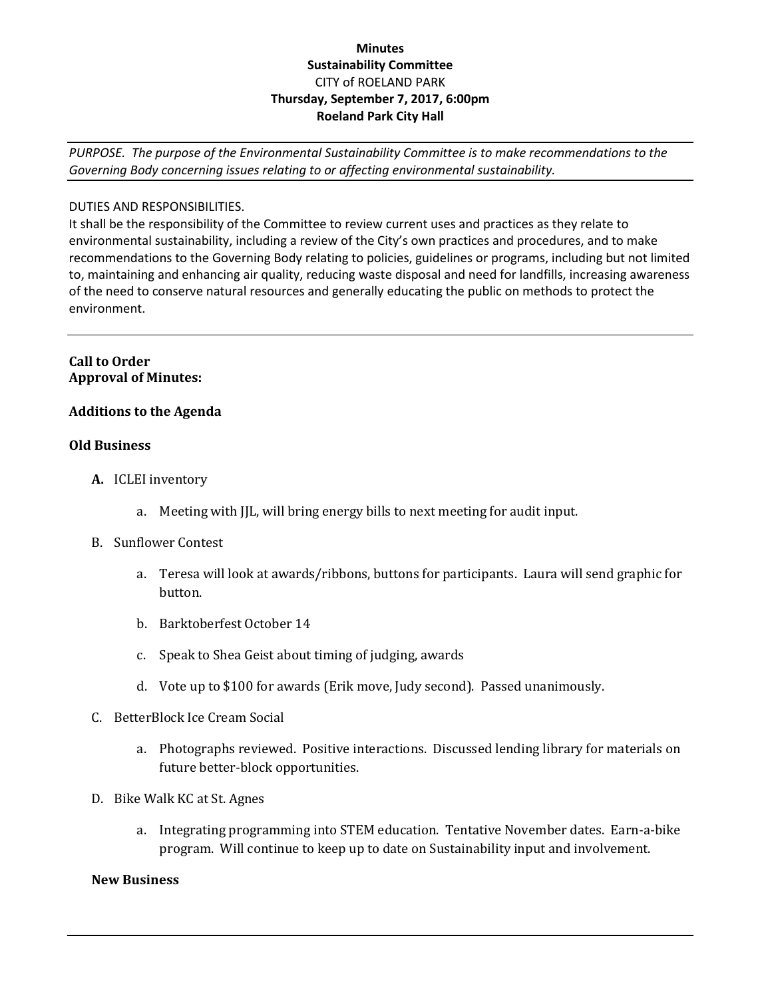## **Minutes Sustainability Committee** CITY of ROELAND PARK **Thursday, September 7, 2017, 6:00pm Roeland Park City Hall**

*PURPOSE. The purpose of the Environmental Sustainability Committee is to make recommendations to the Governing Body concerning issues relating to or affecting environmental sustainability.*

## DUTIES AND RESPONSIBILITIES.

It shall be the responsibility of the Committee to review current uses and practices as they relate to environmental sustainability, including a review of the City's own practices and procedures, and to make recommendations to the Governing Body relating to policies, guidelines or programs, including but not limited to, maintaining and enhancing air quality, reducing waste disposal and need for landfills, increasing awareness of the need to conserve natural resources and generally educating the public on methods to protect the environment.

### **Call to Order Approval of Minutes:**

## **Additions to the Agenda**

#### **Old Business**

- **A.** ICLEI inventory
	- a. Meeting with JJL, will bring energy bills to next meeting for audit input.
- B. Sunflower Contest
	- a. Teresa will look at awards/ribbons, buttons for participants. Laura will send graphic for button.
	- b. Barktoberfest October 14
	- c. Speak to Shea Geist about timing of judging, awards
	- d. Vote up to \$100 for awards (Erik move, Judy second). Passed unanimously.
- C. BetterBlock Ice Cream Social
	- a. Photographs reviewed. Positive interactions. Discussed lending library for materials on future better-block opportunities.
- D. Bike Walk KC at St. Agnes
	- a. Integrating programming into STEM education. Tentative November dates. Earn-a-bike program. Will continue to keep up to date on Sustainability input and involvement.

#### **New Business**